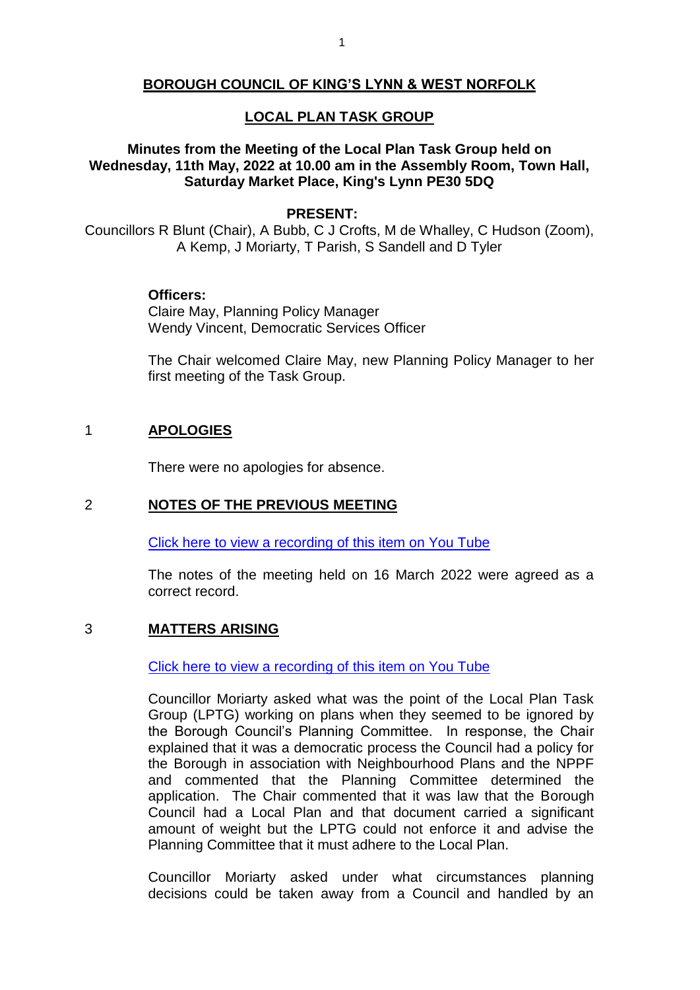#### **BOROUGH COUNCIL OF KING'S LYNN & WEST NORFOLK**

#### **LOCAL PLAN TASK GROUP**

#### **Minutes from the Meeting of the Local Plan Task Group held on Wednesday, 11th May, 2022 at 10.00 am in the Assembly Room, Town Hall, Saturday Market Place, King's Lynn PE30 5DQ**

#### **PRESENT:**

Councillors R Blunt (Chair), A Bubb, C J Crofts, M de Whalley, C Hudson (Zoom), A Kemp, J Moriarty, T Parish, S Sandell and D Tyler

#### **Officers:**

Claire May, Planning Policy Manager Wendy Vincent, Democratic Services Officer

The Chair welcomed Claire May, new Planning Policy Manager to her first meeting of the Task Group.

#### 1 **APOLOGIES**

There were no apologies for absence.

#### 2 **NOTES OF THE PREVIOUS MEETING**

[Click here to view a recording of this item on You Tube](https://youtu.be/Dg1lS2SQDkQ?t=119)

The notes of the meeting held on 16 March 2022 were agreed as a correct record.

#### 3 **MATTERS ARISING**

[Click here to view a recording of this item on You Tube](https://youtu.be/Dg1lS2SQDkQ?t=126)

Councillor Moriarty asked what was the point of the Local Plan Task Group (LPTG) working on plans when they seemed to be ignored by the Borough Council's Planning Committee. In response, the Chair explained that it was a democratic process the Council had a policy for the Borough in association with Neighbourhood Plans and the NPPF and commented that the Planning Committee determined the application. The Chair commented that it was law that the Borough Council had a Local Plan and that document carried a significant amount of weight but the LPTG could not enforce it and advise the Planning Committee that it must adhere to the Local Plan.

Councillor Moriarty asked under what circumstances planning decisions could be taken away from a Council and handled by an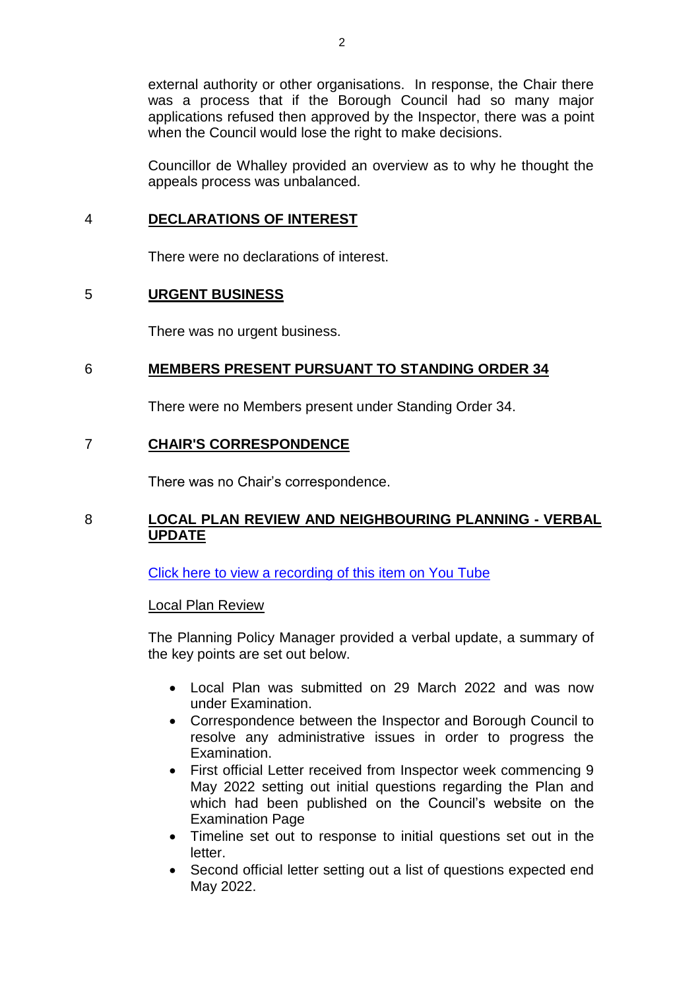external authority or other organisations. In response, the Chair there was a process that if the Borough Council had so many major applications refused then approved by the Inspector, there was a point when the Council would lose the right to make decisions.

Councillor de Whalley provided an overview as to why he thought the appeals process was unbalanced.

## 4 **DECLARATIONS OF INTEREST**

There were no declarations of interest.

## 5 **URGENT BUSINESS**

There was no urgent business.

## 6 **MEMBERS PRESENT PURSUANT TO STANDING ORDER 34**

There were no Members present under Standing Order 34.

## 7 **CHAIR'S CORRESPONDENCE**

There was no Chair's correspondence.

# 8 **LOCAL PLAN REVIEW AND NEIGHBOURING PLANNING - VERBAL UPDATE**

[Click here to view a recording of this item on You Tube](https://youtu.be/Dg1lS2SQDkQ?t=685)

## Local Plan Review

The Planning Policy Manager provided a verbal update, a summary of the key points are set out below.

- Local Plan was submitted on 29 March 2022 and was now under Examination.
- Correspondence between the Inspector and Borough Council to resolve any administrative issues in order to progress the Examination.
- First official Letter received from Inspector week commencing 9 May 2022 setting out initial questions regarding the Plan and which had been published on the Council's website on the Examination Page
- Timeline set out to response to initial questions set out in the letter.
- Second official letter setting out a list of questions expected end May 2022.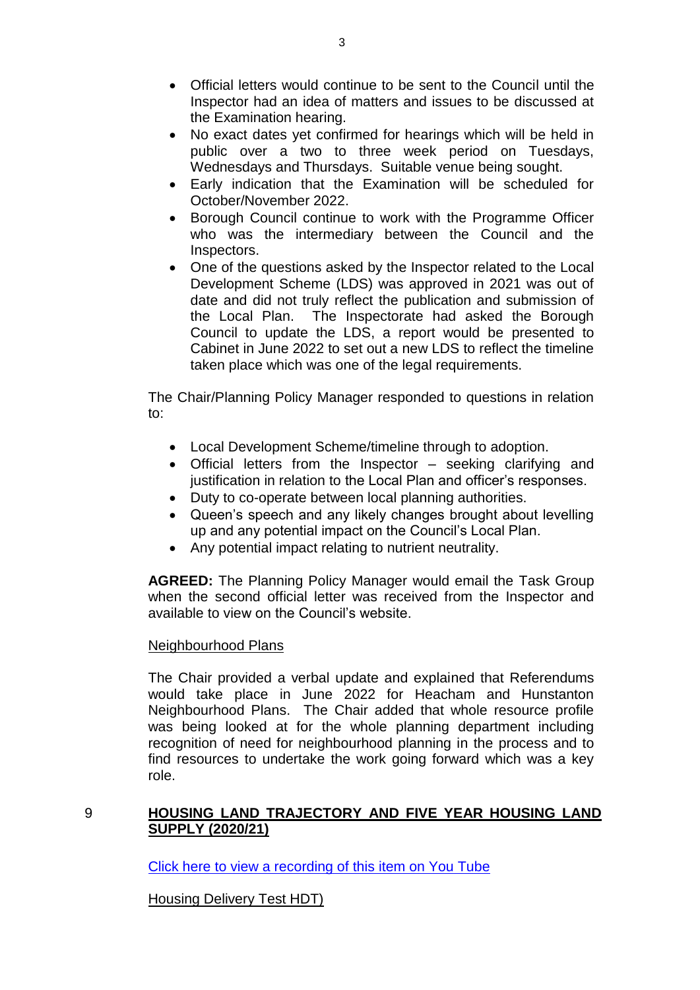- Official letters would continue to be sent to the Council until the Inspector had an idea of matters and issues to be discussed at the Examination hearing.
- No exact dates yet confirmed for hearings which will be held in public over a two to three week period on Tuesdays, Wednesdays and Thursdays. Suitable venue being sought.
- Early indication that the Examination will be scheduled for October/November 2022.
- Borough Council continue to work with the Programme Officer who was the intermediary between the Council and the Inspectors.
- One of the questions asked by the Inspector related to the Local Development Scheme (LDS) was approved in 2021 was out of date and did not truly reflect the publication and submission of the Local Plan. The Inspectorate had asked the Borough Council to update the LDS, a report would be presented to Cabinet in June 2022 to set out a new LDS to reflect the timeline taken place which was one of the legal requirements.

The Chair/Planning Policy Manager responded to questions in relation to:

- Local Development Scheme/timeline through to adoption.
- Official letters from the Inspector seeking clarifying and justification in relation to the Local Plan and officer's responses.
- Duty to co-operate between local planning authorities.
- Queen's speech and any likely changes brought about levelling up and any potential impact on the Council's Local Plan.
- Any potential impact relating to nutrient neutrality.

**AGREED:** The Planning Policy Manager would email the Task Group when the second official letter was received from the Inspector and available to view on the Council's website.

## Neighbourhood Plans

The Chair provided a verbal update and explained that Referendums would take place in June 2022 for Heacham and Hunstanton Neighbourhood Plans. The Chair added that whole resource profile was being looked at for the whole planning department including recognition of need for neighbourhood planning in the process and to find resources to undertake the work going forward which was a key role.

## 9 **HOUSING LAND TRAJECTORY AND FIVE YEAR HOUSING LAND SUPPLY (2020/21)**

[Click here to view a recording of this item on You Tube](https://youtu.be/Dg1lS2SQDkQ?t=1424)

Housing Delivery Test HDT)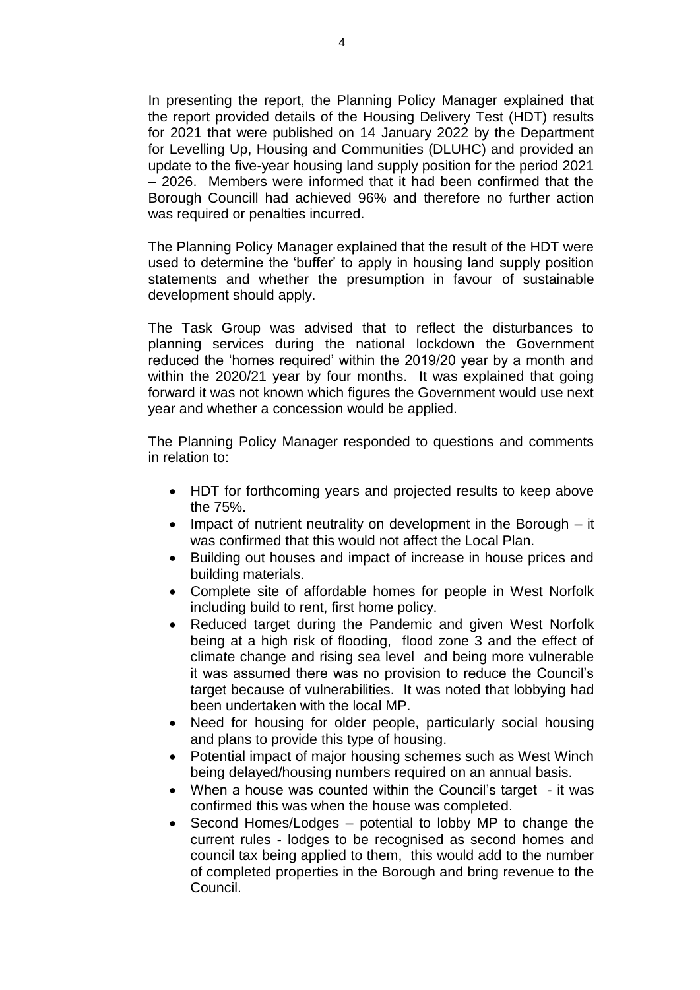In presenting the report, the Planning Policy Manager explained that the report provided details of the Housing Delivery Test (HDT) results for 2021 that were published on 14 January 2022 by the Department for Levelling Up, Housing and Communities (DLUHC) and provided an update to the five-year housing land supply position for the period 2021 – 2026. Members were informed that it had been confirmed that the Borough Councill had achieved 96% and therefore no further action was required or penalties incurred.

The Planning Policy Manager explained that the result of the HDT were used to determine the 'buffer' to apply in housing land supply position statements and whether the presumption in favour of sustainable development should apply.

The Task Group was advised that to reflect the disturbances to planning services during the national lockdown the Government reduced the 'homes required' within the 2019/20 year by a month and within the 2020/21 year by four months. It was explained that going forward it was not known which figures the Government would use next year and whether a concession would be applied.

The Planning Policy Manager responded to questions and comments in relation to:

- HDT for forthcoming years and projected results to keep above the 75%.
- Impact of nutrient neutrality on development in the Borough it was confirmed that this would not affect the Local Plan.
- Building out houses and impact of increase in house prices and building materials.
- Complete site of affordable homes for people in West Norfolk including build to rent, first home policy.
- Reduced target during the Pandemic and given West Norfolk being at a high risk of flooding, flood zone 3 and the effect of climate change and rising sea level and being more vulnerable it was assumed there was no provision to reduce the Council's target because of vulnerabilities. It was noted that lobbying had been undertaken with the local MP.
- Need for housing for older people, particularly social housing and plans to provide this type of housing.
- Potential impact of major housing schemes such as West Winch being delayed/housing numbers required on an annual basis.
- When a house was counted within the Council's target it was confirmed this was when the house was completed.
- Second Homes/Lodges potential to lobby MP to change the current rules - lodges to be recognised as second homes and council tax being applied to them, this would add to the number of completed properties in the Borough and bring revenue to the Council.